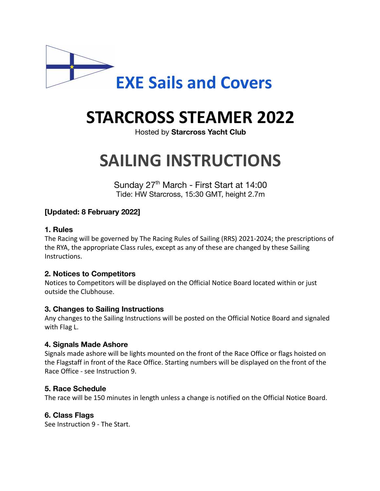

# **STARCROSS STEAMER 2022**

Hosted by **Starcross Yacht Club**

# **SAILING INSTRUCTIONS**

Sunday 27<sup>th</sup> March - First Start at 14:00 Tide: HW Starcross, 15:30 GMT, height 2.7m

# **[Updated: 8 February 2022]**

#### **1. Rules**

The Racing will be governed by The Racing Rules of Sailing (RRS) 2021-2024; the prescriptions of the RYA, the appropriate Class rules, except as any of these are changed by these Sailing Instructions.

# **2. Notices to Competitors**

Notices to Competitors will be displayed on the Official Notice Board located within or just outside the Clubhouse.

# **3. Changes to Sailing Instructions**

Any changes to the Sailing Instructions will be posted on the Official Notice Board and signaled with Flag L.

# **4. Signals Made Ashore**

Signals made ashore will be lights mounted on the front of the Race Office or flags hoisted on the Flagstaff in front of the Race Office. Starting numbers will be displayed on the front of the Race Office - see Instruction 9.

#### **5. Race Schedule**

The race will be 150 minutes in length unless a change is notified on the Official Notice Board.

# **6. Class Flags**

See Instruction 9 - The Start.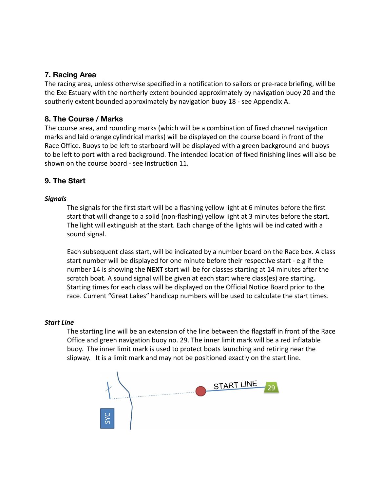#### **7. Racing Area**

The racing area, unless otherwise specified in a notification to sailors or pre-race briefing, will be the Exe Estuary with the northerly extent bounded approximately by navigation buoy 20 and the southerly extent bounded approximately by navigation buoy 18 - see Appendix A.

#### **8. The Course / Marks**

The course area, and rounding marks (which will be a combination of fixed channel navigation marks and laid orange cylindrical marks) will be displayed on the course board in front of the Race Office. Buoys to be left to starboard will be displayed with a green background and buoys to be left to port with a red background. The intended location of fixed finishing lines will also be shown on the course board - see Instruction 11.

## **9. The Start**

#### *Signals*

The signals for the first start will be a flashing yellow light at 6 minutes before the first start that will change to a solid (non-flashing) yellow light at 3 minutes before the start. The light will extinguish at the start. Each change of the lights will be indicated with a sound signal.

Each subsequent class start, will be indicated by a number board on the Race box. A class start number will be displayed for one minute before their respective start - e.g if the number 14 is showing the **NEXT** start will be for classes starting at 14 minutes after the scratch boat. A sound signal will be given at each start where class(es) are starting. Starting times for each class will be displayed on the Official Notice Board prior to the race. Current "Great Lakes" handicap numbers will be used to calculate the start times.

#### *Start Line*

The starting line will be an extension of the line between the flagstaff in front of the Race Office and green navigation buoy no. 29. The inner limit mark will be a red inflatable buoy. The inner limit mark is used to protect boats launching and retiring near the slipway. It is a limit mark and may not be positioned exactly on the start line.

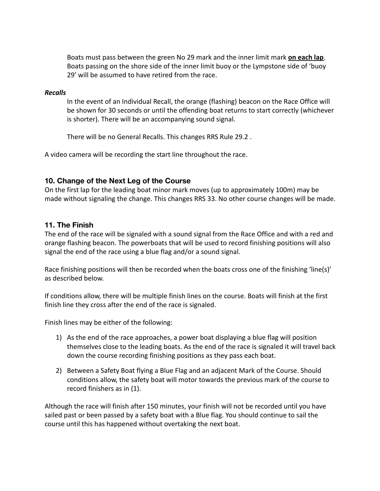Boats must pass between the green No 29 mark and the inner limit mark **on each lap**. Boats passing on the shore side of the inner limit buoy or the Lympstone side of 'buoy 29' will be assumed to have retired from the race.

#### *Recalls*

In the event of an Individual Recall, the orange (flashing) beacon on the Race Office will be shown for 30 seconds or until the offending boat returns to start correctly (whichever is shorter). There will be an accompanying sound signal.

There will be no General Recalls. This changes RRS Rule 29.2 .

A video camera will be recording the start line throughout the race.

## **10. Change of the Next Leg of the Course**

On the first lap for the leading boat minor mark moves (up to approximately 100m) may be made without signaling the change. This changes RRS 33. No other course changes will be made.

#### **11. The Finish**

The end of the race will be signaled with a sound signal from the Race Office and with a red and orange flashing beacon. The powerboats that will be used to record finishing positions will also signal the end of the race using a blue flag and/or a sound signal.

Race finishing positions will then be recorded when the boats cross one of the finishing 'line(s)' as described below.

If conditions allow, there will be multiple finish lines on the course. Boats will finish at the first finish line they cross after the end of the race is signaled.

Finish lines may be either of the following:

- 1) As the end of the race approaches, a power boat displaying a blue flag will position themselves close to the leading boats. As the end of the race is signaled it will travel back down the course recording finishing positions as they pass each boat.
- 2) Between a Safety Boat flying a Blue Flag and an adjacent Mark of the Course. Should conditions allow, the safety boat will motor towards the previous mark of the course to record finishers as in (1).

Although the race will finish after 150 minutes, your finish will not be recorded until you have sailed past or been passed by a safety boat with a Blue flag. You should continue to sail the course until this has happened without overtaking the next boat.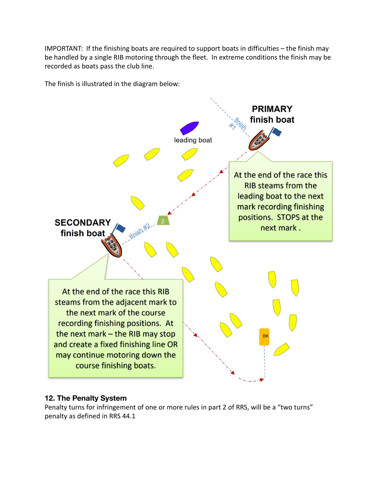IMPORTANT: If the finishing boats are required to support boats in difficulties – the finish may be handled by a single RIB motoring through the fleet. In extreme conditions the finish may be recorded as boats pass the club line.

The finish is illustrated in the diagram below:



# **12. The Penalty System**

Penalty turns for infringement of one or more rules in part 2 of RRS, will be a "two turns" penalty as defined in RRS 44.1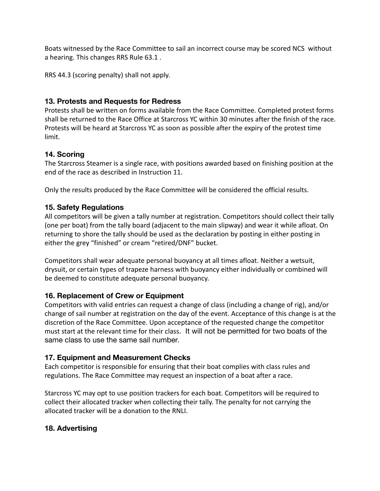Boats witnessed by the Race Committee to sail an incorrect course may be scored NCS without a hearing. This changes RRS Rule 63.1 .

RRS 44.3 (scoring penalty) shall not apply.

# **13. Protests and Requests for Redress**

Protests shall be written on forms available from the Race Committee. Completed protest forms shall be returned to the Race Office at Starcross YC within 30 minutes after the finish of the race. Protests will be heard at Starcross YC as soon as possible after the expiry of the protest time limit.

# **14. Scoring**

The Starcross Steamer is a single race, with positions awarded based on finishing position at the end of the race as described in Instruction 11.

Only the results produced by the Race Committee will be considered the official results.

# **15. Safety Regulations**

All competitors will be given a tally number at registration. Competitors should collect their tally (one per boat) from the tally board (adjacent to the main slipway) and wear it while afloat. On returning to shore the tally should be used as the declaration by posting in either posting in either the grey "finished" or cream "retired/DNF" bucket.

Competitors shall wear adequate personal buoyancy at all times afloat. Neither a wetsuit, drysuit, or certain types of trapeze harness with buoyancy either individually or combined will be deemed to constitute adequate personal buoyancy.

# **16. Replacement of Crew or Equipment**

Competitors with valid entries can request a change of class (including a change of rig), and/or change of sail number at registration on the day of the event. Acceptance of this change is at the discretion of the Race Committee. Upon acceptance of the requested change the competitor must start at the relevant time for their class. It will not be permitted for two boats of the same class to use the same sail number.

# **17. Equipment and Measurement Checks**

Each competitor is responsible for ensuring that their boat complies with class rules and regulations. The Race Committee may request an inspection of a boat after a race.

Starcross YC may opt to use position trackers for each boat. Competitors will be required to collect their allocated tracker when collecting their tally. The penalty for not carrying the allocated tracker will be a donation to the RNLI.

# **18. Advertising**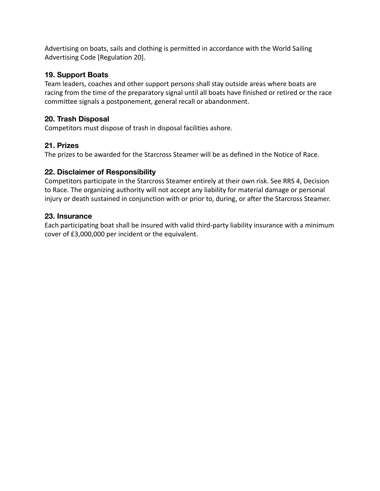Advertising on boats, sails and clothing is permitted in accordance with the World Sailing Advertising Code [Regulation 20].

## **19. Support Boats**

Team leaders, coaches and other support persons shall stay outside areas where boats are racing from the time of the preparatory signal until all boats have finished or retired or the race committee signals a postponement, general recall or abandonment.

# **20. Trash Disposal**

Competitors must dispose of trash in disposal facilities ashore.

#### **21. Prizes**

The prizes to be awarded for the Starcross Steamer will be as defined in the Notice of Race.

#### **22. Disclaimer of Responsibility**

Competitors participate in the Starcross Steamer entirely at their own risk. See RRS 4, Decision to Race. The organizing authority will not accept any liability for material damage or personal injury or death sustained in conjunction with or prior to, during, or after the Starcross Steamer.

#### **23. Insurance**

Each participating boat shall be insured with valid third-party liability insurance with a minimum cover of £3,000,000 per incident or the equivalent.